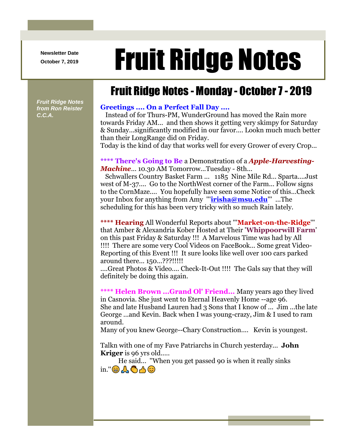**Newsletter Date**

# Newsletter Date **Fruit Ridge Notes**

## Fruit Ridge Notes - Monday - October 7 - 2019

*Fruit Ridge Notes from Ron Reister C.C.A.*

#### **Greetings .... On a Perfect Fall Day ....**

Instead of for Thurs-PM, WunderGround has moved the Rain more towards Friday AM... and then shows it getting very skimpy for Saturday & Sunday...significantly modified in our favor.... Lookn much much better than their LongRange did on Friday.

Today is the kind of day that works well for every Grower of every Crop...

#### **\*\*\*\* There's Going to Be** a Demonstration of a *Apple-Harvesting-Machine*... 10.30 AM Tomorrow...Tuesday - 8th...

Schwallers Country Basket Farm ... 1185 Nine Mile Rd... Sparta....Just west of M-37.... Go to the NorthWest corner of the Farm... Follow signs to the CornMaze.... You hopefully have seen some Notice of this...Check your Inbox for anything from Amy '''**[irisha@msu.edu](mailto:irisha@msu.edu)**''' ...The scheduling for this has been very tricky with so much Rain lately.

### **\*\*\*\* Hearing** All Wonderful Reports about '''**Market-on-the-Ridge**''' that Amber & Alexandria Kober Hosted at Their '**Whippoorwill Farm**' on this past Friday & Saturday !!! A Marvelous Time was had by All !!!! There are some very Cool Videos on FaceBook... Some great Video-Reporting of this Event !!! It sure looks like well over 100 cars parked around there... 150...???!!!!!

....Great Photos & Video.... Check-It-Out !!!! The Gals say that they will definitely be doing this again.

**\*\*\*\* Helen Brown ...Grand Ol' Friend...** Many years ago they lived in Casnovia. She just went to Eternal Heavenly Home --age 96. She and late Husband Lauren had 3 Sons that I know of ... Jim ...the late George ...and Kevin. Back when I was young-crazy, Jim & I used to ram around.

Many of you knew George--Chary Construction.... Kevin is youngest.

Talkn with one of my Fave Patriarchs in Church yesterday... **John Kriger** is 96 yrs old.....

He said... ''When you get passed 90 is when it really sinks  $\text{in.}^{\prime\prime}$   $\bigoplus$   $\bigoplus$   $\bigoplus$   $\bigoplus$